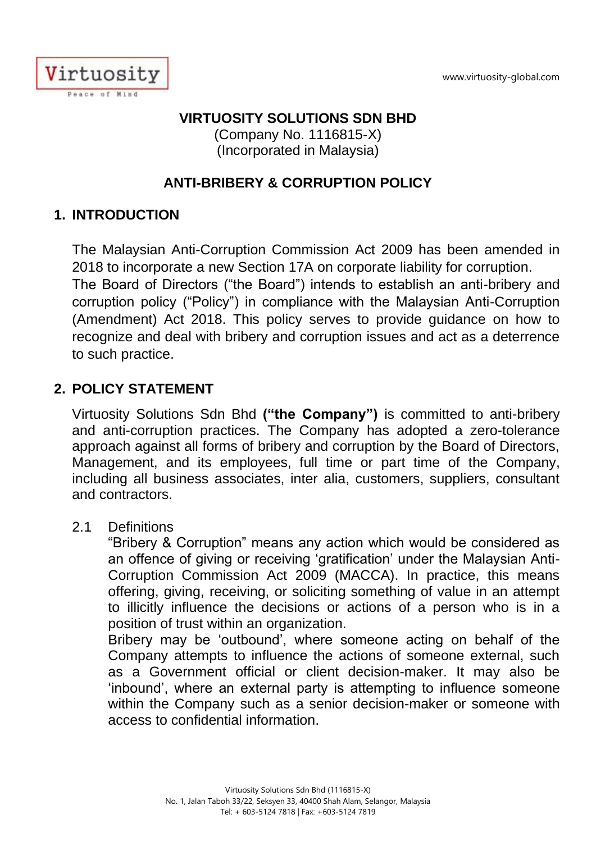

## **VIRTUOSITY SOLUTIONS SDN BHD**

(Company No. 1116815-X) (Incorporated in Malaysia)

## **ANTI-BRIBERY & CORRUPTION POLICY**

## **1. INTRODUCTION**

The Malaysian Anti-Corruption Commission Act 2009 has been amended in 2018 to incorporate a new Section 17A on corporate liability for corruption.

The Board of Directors ("the Board") intends to establish an anti-bribery and corruption policy ("Policy") in compliance with the Malaysian Anti-Corruption (Amendment) Act 2018. This policy serves to provide guidance on how to recognize and deal with bribery and corruption issues and act as a deterrence to such practice.

### **2. POLICY STATEMENT**

Virtuosity Solutions Sdn Bhd **("the Company")** is committed to anti-bribery and anti-corruption practices. The Company has adopted a zero-tolerance approach against all forms of bribery and corruption by the Board of Directors, Management, and its employees, full time or part time of the Company, including all business associates, inter alia, customers, suppliers, consultant and contractors.

### 2.1 Definitions

"Bribery & Corruption" means any action which would be considered as an offence of giving or receiving 'gratification' under the Malaysian Anti-Corruption Commission Act 2009 (MACCA). In practice, this means offering, giving, receiving, or soliciting something of value in an attempt to illicitly influence the decisions or actions of a person who is in a position of trust within an organization.

Bribery may be 'outbound', where someone acting on behalf of the Company attempts to influence the actions of someone external, such as a Government official or client decision-maker. It may also be 'inbound', where an external party is attempting to influence someone within the Company such as a senior decision-maker or someone with access to confidential information.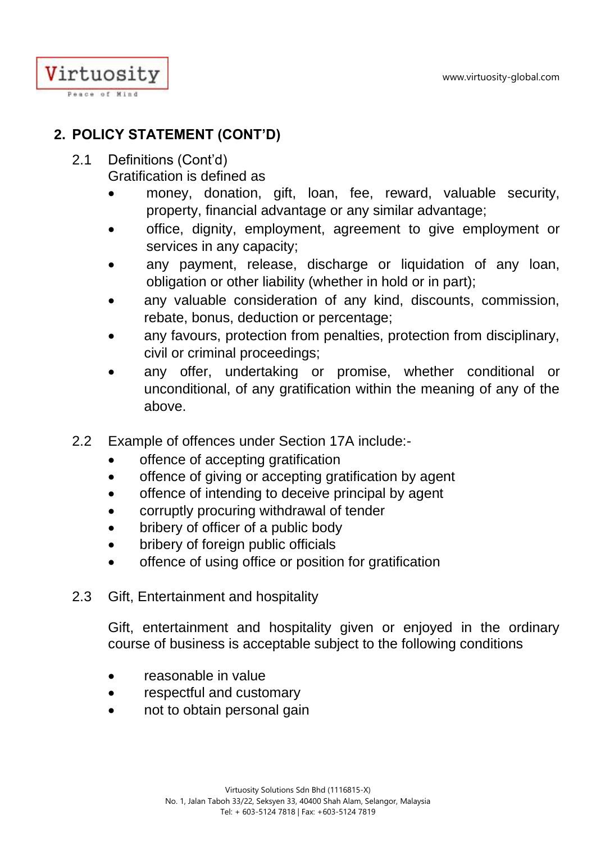

## **2. POLICY STATEMENT (CONT'D)**

- 2.1 Definitions (Cont'd) Gratification is defined as
	- money, donation, gift, loan, fee, reward, valuable security, property, financial advantage or any similar advantage;
	- office, dignity, employment, agreement to give employment or services in any capacity;
	- any payment, release, discharge or liquidation of any loan, obligation or other liability (whether in hold or in part);
	- any valuable consideration of any kind, discounts, commission, rebate, bonus, deduction or percentage;
	- any favours, protection from penalties, protection from disciplinary, civil or criminal proceedings;
	- any offer, undertaking or promise, whether conditional or unconditional, of any gratification within the meaning of any of the above.
- 2.2 Example of offences under Section 17A include:
	- offence of accepting gratification
	- offence of giving or accepting gratification by agent
	- offence of intending to deceive principal by agent
	- corruptly procuring withdrawal of tender
	- bribery of officer of a public body
	- bribery of foreign public officials
	- offence of using office or position for gratification
- 2.3 Gift, Entertainment and hospitality

Gift, entertainment and hospitality given or enjoyed in the ordinary course of business is acceptable subject to the following conditions

- reasonable in value
- respectful and customary
- not to obtain personal gain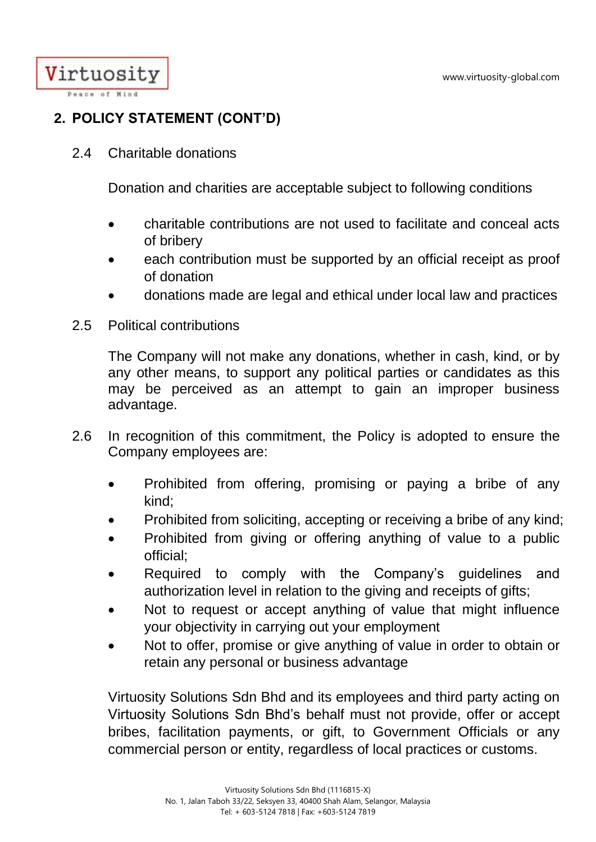Virtuosity Peace of Mind

# **2. POLICY STATEMENT (CONT'D)**

2.4 Charitable donations

Donation and charities are acceptable subject to following conditions

- charitable contributions are not used to facilitate and conceal acts of bribery
- each contribution must be supported by an official receipt as proof of donation
- donations made are legal and ethical under local law and practices
- 2.5 Political contributions

The Company will not make any donations, whether in cash, kind, or by any other means, to support any political parties or candidates as this may be perceived as an attempt to gain an improper business advantage.

- 2.6 In recognition of this commitment, the Policy is adopted to ensure the Company employees are:
	- Prohibited from offering, promising or paying a bribe of any kind;
	- Prohibited from soliciting, accepting or receiving a bribe of any kind;
	- Prohibited from giving or offering anything of value to a public official;
	- Required to comply with the Company's quidelines and authorization level in relation to the giving and receipts of gifts;
	- Not to request or accept anything of value that might influence your objectivity in carrying out your employment
	- Not to offer, promise or give anything of value in order to obtain or retain any personal or business advantage

Virtuosity Solutions Sdn Bhd and its employees and third party acting on Virtuosity Solutions Sdn Bhd's behalf must not provide, offer or accept bribes, facilitation payments, or gift, to Government Officials or any commercial person or entity, regardless of local practices or customs.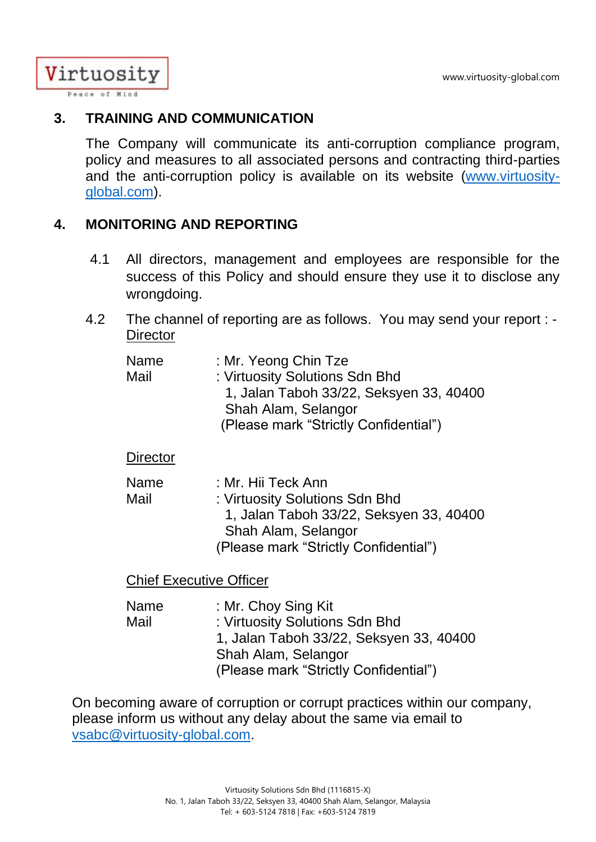Virtuosity Peace of Mind

### **3. TRAINING AND COMMUNICATION**

The Company will communicate its anti-corruption compliance program, policy and measures to all associated persons and contracting third-parties and the anti-corruption policy is available on its website [\(www.virtuosity](http://www.virtuosity-global.com/)[global.com\)](http://www.virtuosity-global.com/).

## **4. MONITORING AND REPORTING**

- 4.1 All directors, management and employees are responsible for the success of this Policy and should ensure they use it to disclose any wrongdoing.
- 4.2 The channel of reporting are as follows. You may send your report : **Director**

| Name | : Mr. Yeong Chin Tze                    |
|------|-----------------------------------------|
| Mail | : Virtuosity Solutions Sdn Bhd          |
|      | 1, Jalan Taboh 33/22, Seksyen 33, 40400 |
|      | Shah Alam, Selangor                     |
|      | (Please mark "Strictly Confidential")   |

**Director** 

| Name | : Mr. Hii Teck Ann                      |
|------|-----------------------------------------|
| Mail | : Virtuosity Solutions Sdn Bhd          |
|      | 1, Jalan Taboh 33/22, Seksyen 33, 40400 |
|      | Shah Alam, Selangor                     |
|      | (Please mark "Strictly Confidential")   |

Chief Executive Officer

| <b>Name</b> | : Mr. Choy Sing Kit                     |
|-------------|-----------------------------------------|
| Mail        | : Virtuosity Solutions Sdn Bhd          |
|             | 1, Jalan Taboh 33/22, Seksyen 33, 40400 |
|             | Shah Alam, Selangor                     |
|             | (Please mark "Strictly Confidential")   |

On becoming aware of corruption or corrupt practices within our company, please inform us without any delay about the same via email to [vsabc@virtuosity-global.com.](mailto:vsabc@virtuosity-global.com)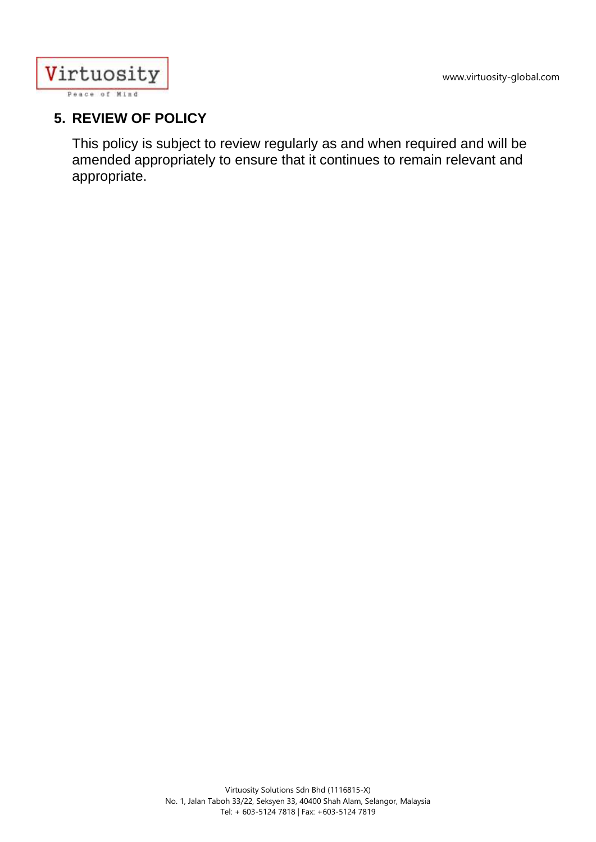

## **5. REVIEW OF POLICY**

This policy is subject to review regularly as and when required and will be amended appropriately to ensure that it continues to remain relevant and appropriate.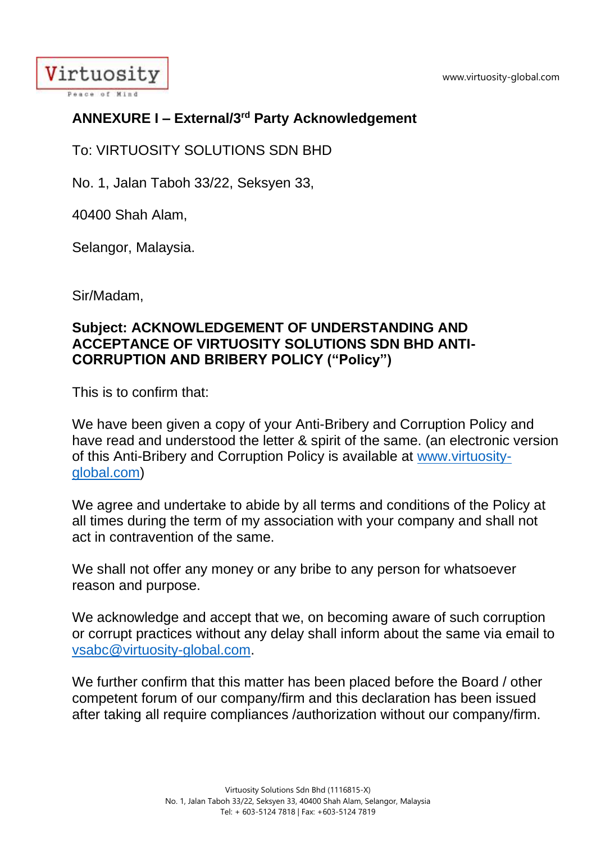www.virtuosity-global.com



# **ANNEXURE I – External/3rd Party Acknowledgement**

To: VIRTUOSITY SOLUTIONS SDN BHD

No. 1, Jalan Taboh 33/22, Seksyen 33,

40400 Shah Alam,

Selangor, Malaysia.

Sir/Madam,

### **Subject: ACKNOWLEDGEMENT OF UNDERSTANDING AND ACCEPTANCE OF VIRTUOSITY SOLUTIONS SDN BHD ANTI-CORRUPTION AND BRIBERY POLICY ("Policy")**

This is to confirm that:

We have been given a copy of your Anti-Bribery and Corruption Policy and have read and understood the letter & spirit of the same. (an electronic version of this Anti-Bribery and Corruption Policy is available at [www.virtuosity](http://www.virtuosity-global.com/)[global.com\)](http://www.virtuosity-global.com/)

We agree and undertake to abide by all terms and conditions of the Policy at all times during the term of my association with your company and shall not act in contravention of the same.

We shall not offer any money or any bribe to any person for whatsoever reason and purpose.

We acknowledge and accept that we, on becoming aware of such corruption or corrupt practices without any delay shall inform about the same via email to [vsabc@virtuosity-global.com.](mailto:accounts@virtuosity-global.com)

We further confirm that this matter has been placed before the Board / other competent forum of our company/firm and this declaration has been issued after taking all require compliances /authorization without our company/firm.